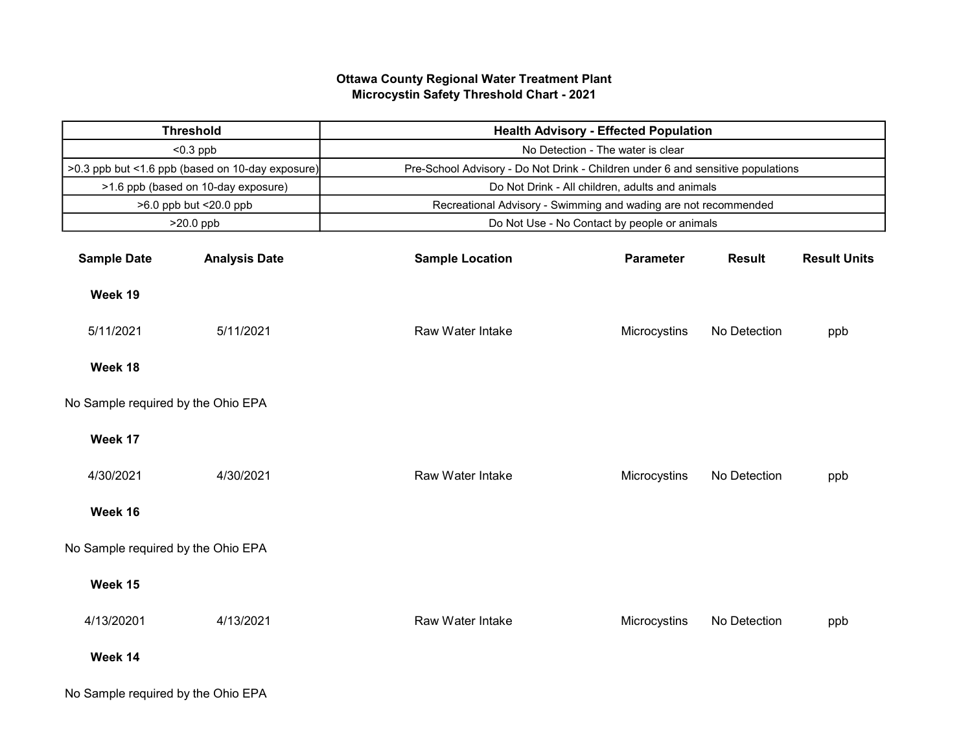## Ottawa County Regional Water Treatment Plant Microcystin Safety Threshold Chart - 2021

| <b>Threshold</b>                                 |                      | <b>Health Advisory - Effected Population</b>                                    |                  |               |                     |  |  |
|--------------------------------------------------|----------------------|---------------------------------------------------------------------------------|------------------|---------------|---------------------|--|--|
| $< 0.3$ ppb                                      |                      | No Detection - The water is clear                                               |                  |               |                     |  |  |
| >0.3 ppb but <1.6 ppb (based on 10-day exposure) |                      | Pre-School Advisory - Do Not Drink - Children under 6 and sensitive populations |                  |               |                     |  |  |
| >1.6 ppb (based on 10-day exposure)              |                      | Do Not Drink - All children, adults and animals                                 |                  |               |                     |  |  |
| >6.0 ppb but <20.0 ppb                           |                      | Recreational Advisory - Swimming and wading are not recommended                 |                  |               |                     |  |  |
| >20.0 ppb                                        |                      | Do Not Use - No Contact by people or animals                                    |                  |               |                     |  |  |
| <b>Sample Date</b>                               | <b>Analysis Date</b> | <b>Sample Location</b>                                                          | <b>Parameter</b> | <b>Result</b> | <b>Result Units</b> |  |  |
| Week 19                                          |                      |                                                                                 |                  |               |                     |  |  |
| 5/11/2021                                        | 5/11/2021            | Raw Water Intake                                                                | Microcystins     | No Detection  | ppb                 |  |  |
| Week 18                                          |                      |                                                                                 |                  |               |                     |  |  |
| No Sample required by the Ohio EPA               |                      |                                                                                 |                  |               |                     |  |  |
| Week 17                                          |                      |                                                                                 |                  |               |                     |  |  |
| 4/30/2021                                        | 4/30/2021            | Raw Water Intake                                                                | Microcystins     | No Detection  | ppb                 |  |  |
| Week 16                                          |                      |                                                                                 |                  |               |                     |  |  |
| No Sample required by the Ohio EPA               |                      |                                                                                 |                  |               |                     |  |  |
| Week 15                                          |                      |                                                                                 |                  |               |                     |  |  |
| 4/13/20201                                       | 4/13/2021            | Raw Water Intake                                                                | Microcystins     | No Detection  | ppb                 |  |  |
| Week 14                                          |                      |                                                                                 |                  |               |                     |  |  |
| No Sample required by the Ohio EPA               |                      |                                                                                 |                  |               |                     |  |  |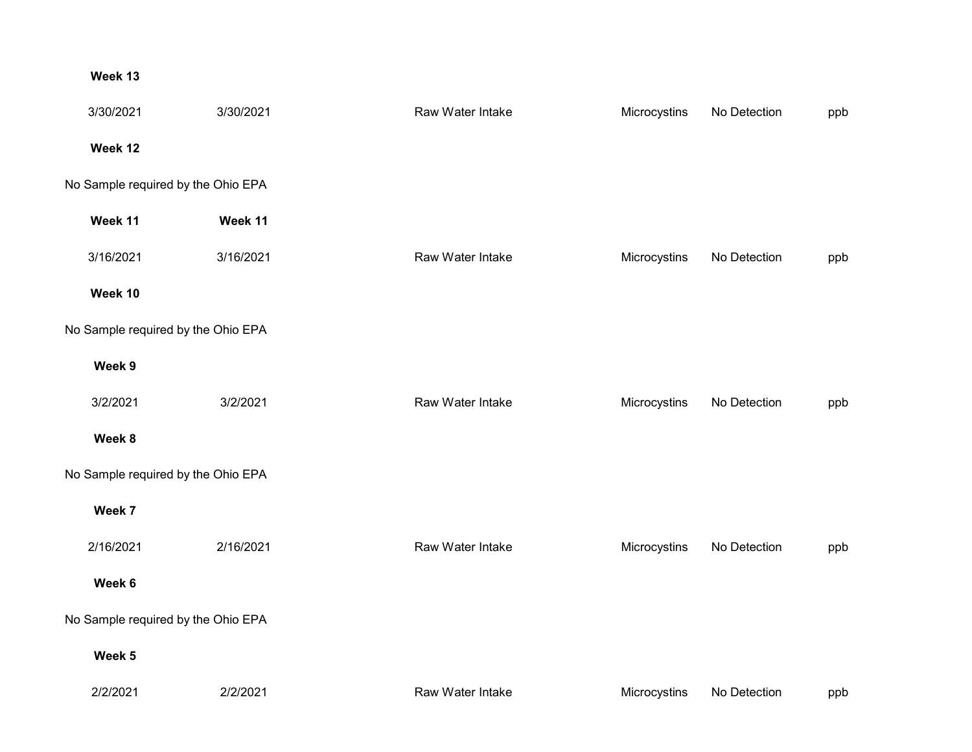## Week 13

|                                    | 3/30/2021                          | 3/30/2021 | Raw Water Intake | Microcystins | No Detection | ppb |  |  |
|------------------------------------|------------------------------------|-----------|------------------|--------------|--------------|-----|--|--|
|                                    | Week 12                            |           |                  |              |              |     |  |  |
|                                    | No Sample required by the Ohio EPA |           |                  |              |              |     |  |  |
|                                    | Week 11                            | Week 11   |                  |              |              |     |  |  |
|                                    | 3/16/2021                          | 3/16/2021 | Raw Water Intake | Microcystins | No Detection | ppb |  |  |
|                                    | Week 10                            |           |                  |              |              |     |  |  |
|                                    | No Sample required by the Ohio EPA |           |                  |              |              |     |  |  |
|                                    | Week 9                             |           |                  |              |              |     |  |  |
|                                    | 3/2/2021                           | 3/2/2021  | Raw Water Intake | Microcystins | No Detection | ppb |  |  |
|                                    | Week 8                             |           |                  |              |              |     |  |  |
| No Sample required by the Ohio EPA |                                    |           |                  |              |              |     |  |  |
|                                    | Week 7                             |           |                  |              |              |     |  |  |
|                                    | 2/16/2021                          | 2/16/2021 | Raw Water Intake | Microcystins | No Detection | ppb |  |  |
|                                    | Week 6                             |           |                  |              |              |     |  |  |
|                                    | No Sample required by the Ohio EPA |           |                  |              |              |     |  |  |
|                                    | Week 5                             |           |                  |              |              |     |  |  |
|                                    | 2/2/2021                           | 2/2/2021  | Raw Water Intake | Microcystins | No Detection | ppb |  |  |